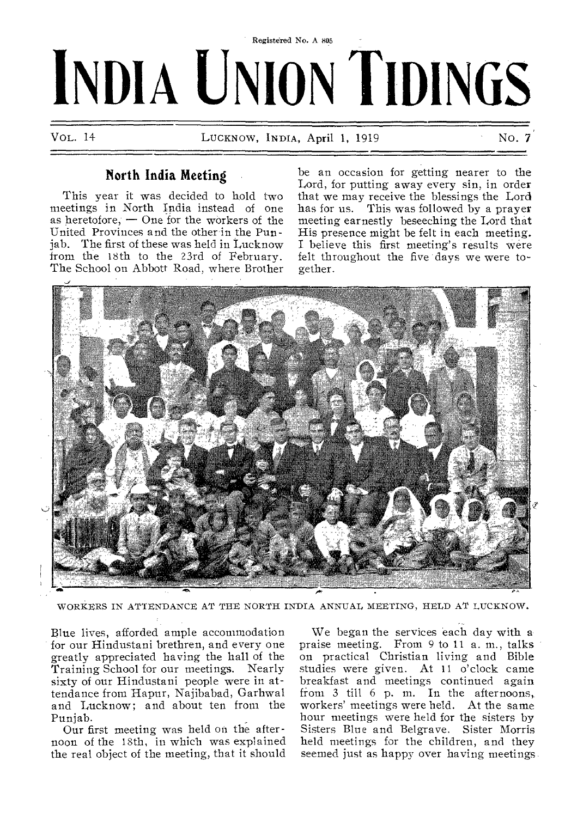# Registered No. A 805 **INDIA UNION TIDINGS**

VOL. 14 LUCKNOW, INDIA, April 1, 1919 NO. 7

## **North India Meeting**

This year it was decided to hold two meetings in North India instead of one as heretofore,  $-$  One for the workers of the United Provinces and the other in the Punjab. The first of these was held in Lucknow from the 18th to the 23rd of February. The School on Abbott Road, where Brother

be an occasion for getting nearer to the Lord, for putting away every sin, in order that we may receive the blessings the Lord has for us. This was followed by a prayer meeting earnestly beseeching the Lord that His presence might be felt in each meeting. I believe this first meeting's results were felt throughout the five days we were together.



WORKERS IN ATTENDANCE AT THE NORTH INDIA ANNUAL MEETING, HELD AT LUCKNOW.

Blue lives, afforded ample accommodation for our Hindustani brethren, and every one greatly appreciated having the hall of the Training School for our meetings. Nearly sixty of our Hindustani people were in attendance from Hapur, Najibabad, Garhwal and Lucknow; and about ten from the Punjab.

Our first meeting was held on the afternoon of the 18th, in which was explained the real object of the meeting, that it should

We began the services each day with a praise meeting. From 9 to 11 a. m., talks on practical Christian living and Bible studies were given. At 11 o'clock came breakfast and meetings continued again from 3 till 6 p. m. In the afternoons, workers' meetings were held. At the same hour meetings were held for the sisters by Sisters Blue and Belgrave. Sister Morris held meetings for the children, and they seemed just as happy over having meetings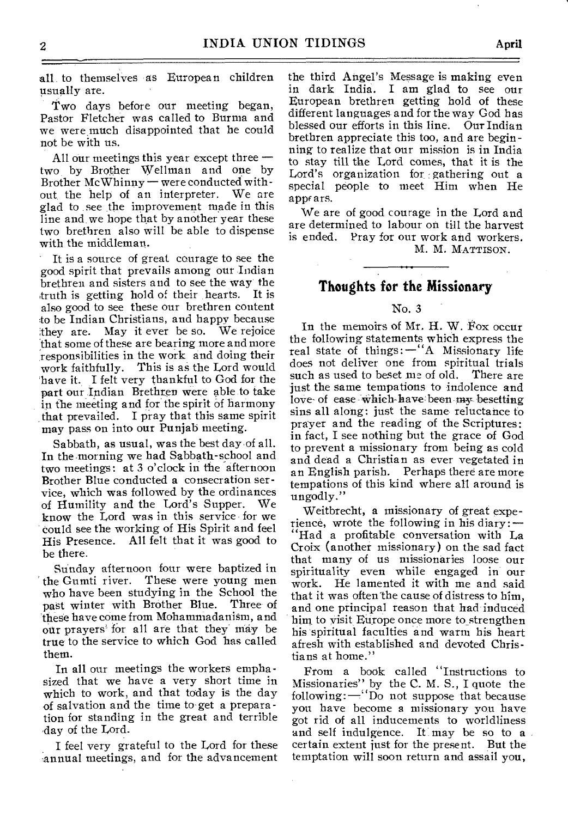all to themselves as European children usually are.

Two days before our meeting began, Pastor Fletcher was called to Burma and we were much disappointed that he could not be with us.

All our meetings this year except three two by Brother Wellman and one by Brother Mc Whinny — were conducted without, the help of an interpreter. We are glad to see the improvement made in this line and we hope that by another year these two brethren also will be able to dispense with the middleman.

It is a source of great courage to see the good spirit that prevails among our. Indian brethren and sisters and to see the way the truth is getting hold of their hearts. It is also good to see these our brethren content to be Indian Christians, and happy because they are. May it ever be so. We rejoice that some of these are bearing more and more responsibilities in the work and doing their work faithfully. This is as the Lord would have it. I felt very thankful to God for the part our Indian Brethren were able to take in the meeting and for the spirit of harmony that prevailed. I pray that this same spirit may pass on into our Punjab meeting.

Sabbath, as usual, was the best day of all. In the morning we had Sabbath-school and two meetings: at 3 o'clock in the afternoon Brother Blue conducted a consecration service, which was followed by the ordinances of Humility and the Lord's Supper. We know the Lord was in this service for we could see the working of His Spirit and feel His Presence. All felt that it was good to be there.

Sunday afternoon four were baptized in<br>the Gumti river. These were young men These were young men who have been studying in the School the past winter with Brother Blue. Three of past winter with Brother Blue. these have come from Mohammadanism, and our prayers for all are that they may be true to the service to which God has called them.

In all our meetings the workers emphasized that we have a very short time in which to work, and that today is the day of salvation and the time to get a preparation for standing in the great and terrible day of the Lord.

I feel very grateful to the Lord for these annual meetings, and for the advancement the third Angel's Message is making even in dark India. I am glad to see our European brethren getting hold of these different languages and for the way God has blessed our efforts in this line. Our Indian brethren appreciate this too, and are beginning to realize that our mission is in India to stay till the Lord comes, that it is the Lord's organization for :gathering out a special people to meet Him when He appf ars.

We are of good courage in the Lord and are determined to labour on till the harvest is ended. Pray for our work and workers.

M. M. MATTISON.

### **Thoughts for the Missionary**

#### No. 3

In the memoirs of Mr. H. W. Fox occur the following statements which express the real state of things:—"A Missionary life does not deliver one from spiritual trials such as used to beset me of old. There are just the same tempations to indolence and love- of ease which-have-been my besetting sins all along: just the same reluctance to prayer and the reading of the Scriptures: in fact, I see nothing but the grace of God to prevent a missionary from being as cold and dead a Christian as ever vegetated in an English parish. Perhaps there are more tempations of this kind where all around is ungodly."

Weitbrecht, a missionary of great experience, wrote the following in his diary: — "Had a profitable conversation with La Croix (another missionary) on the sad fact that many of us missionaries loose our spirituality even while engaged in our work. He lamented it with me and said that it was often the cause of distress to him, and one principal reason that had induced him to visit Europe once more to strengthen his spiritual faculties and warm his heart afresh with established and devoted Christians at home."

From a book called "Instructions to Missionaries" by the C. M. S., I quote the following:—''Do not suppose that because you have become a missionary you have got rid of all inducements to worldliness and self indulgence. It may be so to a certain extent just for the present. But the temptation will soon return and assail you,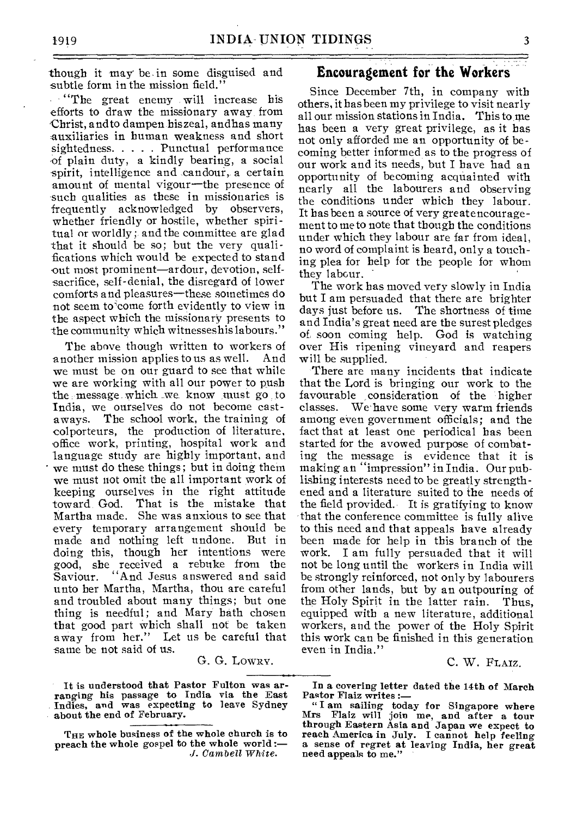though it may be. in some disguised and subtle form in the mission field."

 $\cdots$ "The great enemy will increase his efforts to draw the missionary away from Christ, and to dampen his zeal, andhas many auxiliaries in human weakness and short sightedness. . . . . Punctual performance of plain duty, a kindly bearing, a social spirit, intelligence and candour, a certain amount of mental vigour—the presence of such qualities as these in missionaries is frequently acknowledged by observers, whether friendly or hostile, whether spiritual or worldly; and the committee are glad that it should be so; but the very qualifications which would be expected to stand out most prominent—ardour, devotion, selfsacrifice, self-denial, the disregard of lower comforts and pleasures—these sometimes do not seem to come forth evidently to view in the aspect which the missionary presents to the community which witnesseshis labours."

The above though written to workers of another mission applies to us as well. And we must be on our guard to see that while we are working with all our power to push the message which\_ we know must go to India, we ourselves do not become castaways. The school work, the training of colporteurs, the production of literature, office work, printing, hospital work and language study are highly important, and we must do these things; but in doing them we must not omit the all important work of keeping ourselves in the right attitude That is the mistake that Martha made. She was anxious to see that every temporary arrangement should be made and nothing left undone. But in doing this, though her intentions were good, she received a rebuke from the Saviour. "And Jesus answered and said unto her Martha, Martha, thou are careful and troubled about many things; but one thing is needful; and Mary bath chosen that good part which shall not be taken away from her." Let us be careful that same be not said of us.

G. G. Lowxv.

It is understood that Pastor Fulton was arranging his passage to India via the East Indies, and was expecting to leave Sydney about the end of February.

#### **Encouragement for the Workers**

Since December 7th, in company with others, it has been my privilege to visit nearly all our mission stations in India. This to me has been a very great privilege, as it has not only afforded me an opportunity of becoming better informed as to the progress of our work and its needs, but I have had an opportunity of becoming acquainted with nearly all the labourers and observing the conditions under which they labour. It has been a source of very greatencouragement to me to note that though the conditions under which they labour are far from ideal, no word of complaint is heard, only a touching plea for help for the people for whom they labour.

The work has moved very slowly in India but I am persuaded that there are brighter days just before us. The shortness of time and India's great need are the surest pledges of, soon coming help. God is watching over His ripening vineyard and reapers will be supplied.

There are many incidents that indicate that the Lord is bringing our work to the favourable consideration of the higher classes. We have some very warm friends among even government officials; and the fact that at least one periodical has been started for the avowed purpose of combating the message is evidence that it is making an "impression" in India. Our publishing interests need to be greatly strengthened and a literature suited to the needs of the field provided. It is gratifying to know that the conference committee is fully alive to this need and that appeals have already been made for help in this branch of the work. I am fully persuaded that it will not be long until the workers in India will be strongly reinforced, not only by labourers from other lands, but by an outpouring of the Holy Spirit in the latter rain. Thus, equipped with a new literature, additional workers, and the power of the Holy Spirit this work can be finished in this generation even in India."

#### C. W. FLAiz.

In a covering letter dated the 14th of March Pastor Flaiz writes :—

" I am sailing today for Singapore where Mrs Flaiz will join me, and after a tour through Eastern Asia and Japan we expect to reach America in July. I cannot help feeling a sense of regret at leaving India, her great need appeals to me."

THE whole business of the whole church is to preach the whole gospel to the whole world *:— J. Cambell White.*